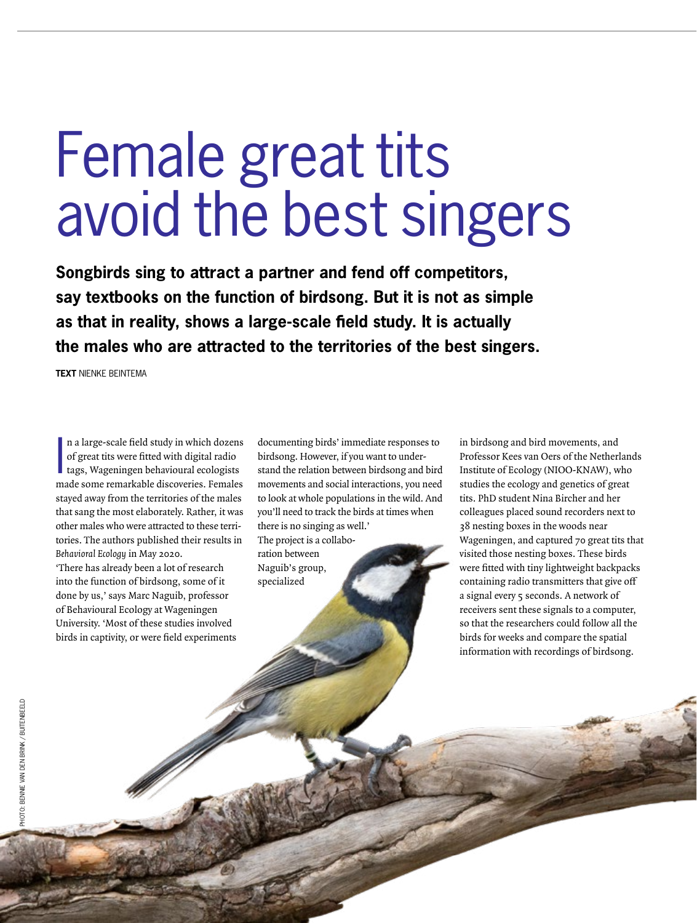# Female great tits avoid the best singers

**Songbirds sing to attract a partner and fend off competitors, say textbooks on the function of birdsong. But it is not as simple as that in reality, shows a large-scale field study. It is actually the males who are attracted to the territories of the best singers.**

**TEXT** NIENKE BEINTEMA

In a large-scale field study in which dozens of great tits were fitted with digital radio tags, Wageningen behavioural ecologists made some remarkable discoveries. Females n a large-scale field study in which dozens of great tits were fitted with digital radio tags, Wageningen behavioural ecologists stayed away from the territories of the males that sang the most elaborately. Rather, it was other males who were attracted to these territories. The authors published their results in Behavioral Ecology in May 2020. 'There has already been a lot of research into the function of birdsong, some of it done by us,' says Marc Naguib, professor of Behavioural Ecology at Wageningen University. 'Most of these studies involved birds in captivity, or were field experiments

documenting birds' immediate responses to birdsong. However, if you want to understand the relation between birdsong and bird movements and social interactions, you need to look at whole populations in the wild. And you'll need to track the birds at times when there is no singing as well.' The project is a collabo-

ration between Naguib's group, specialized

in birdsong and bird movements, and Professor Kees van Oers of the Netherlands Institute of Ecology (NIOO-KNAW), who studies the ecology and genetics of great tits. PhD student Nina Bircher and her colleagues placed sound recorders next to 38 nesting boxes in the woods near Wageningen, and captured 70 great tits that visited those nesting boxes. These birds were fitted with tiny lightweight backpacks containing radio transmitters that give off a signal every 5 seconds. A network of receivers sent these signals to a computer, so that the researchers could follow all the birds for weeks and compare the spatial information with recordings of birdsong.